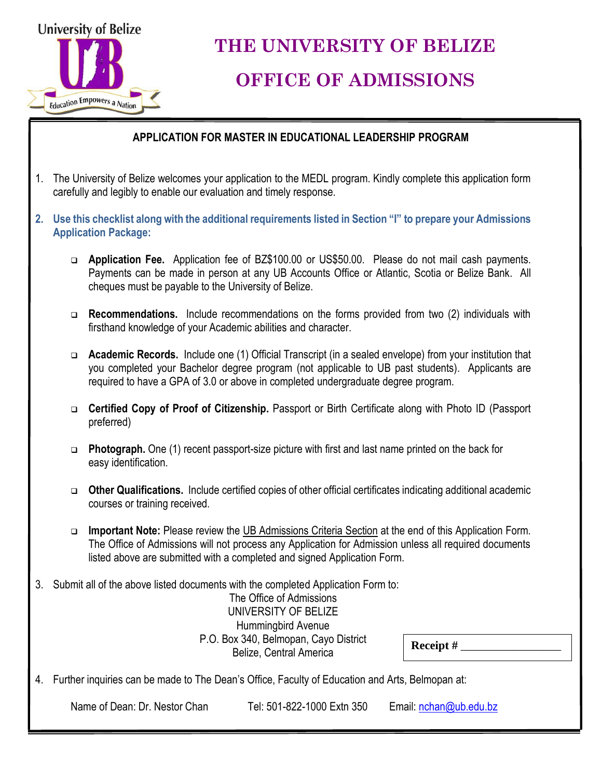

# **THE UNIVERSITY OF BELIZE**

### **OFFICE OF ADMISSIONS**

### **APPLICATION FOR MASTER IN EDUCATIONAL LEADERSHIP PROGRAM**

- 1. The University of Belize welcomes your application to the MEDL program. Kindly complete this application form carefully and legibly to enable our evaluation and timely response.
- **2. Use this checklist along with the additional requirements listed in Section "I" to prepare your Admissions Application Package:** 
	- **Application Fee.** Application fee of BZ\$100.00 or US\$50.00. Please do not mail cash payments. Payments can be made in person at any UB Accounts Office or Atlantic, Scotia or Belize Bank. All cheques must be payable to the University of Belize.
	- **Recommendations.** Include recommendations on the forms provided from two (2) individuals with firsthand knowledge of your Academic abilities and character.
	- **Academic Records.** Include one (1) Official Transcript (in a sealed envelope) from your institution that you completed your Bachelor degree program (not applicable to UB past students). Applicants are required to have a GPA of 3.0 or above in completed undergraduate degree program.
	- **Certified Copy of Proof of Citizenship.** Passport or Birth Certificate along with Photo ID (Passport preferred)
	- **Photograph.** One (1) recent passport-size picture with first and last name printed on the back for easy identification.
	- **Other Qualifications.** Include certified copies of other official certificates indicating additional academic courses or training received.
	- **Important Note:** Please review the UB Admissions Criteria Section at the end of this Application Form. The Office of Admissions will not process any Application for Admission unless all required documents listed above are submitted with a completed and signed Application Form.
- 3. Submit all of the above listed documents with the completed Application Form to:

The Office of Admissions UNIVERSITY OF BELIZE Hummingbird Avenue P.O. Box 340, Belmopan, Cayo District Belize, Central America

**Receipt #** \_\_\_\_\_\_\_\_\_\_\_\_\_\_\_\_\_

4. Further inquiries can be made to The Dean's Office, Faculty of Education and Arts, Belmopan at:

Name of Dean: Dr. Nestor Chan Tel: 501-822-1000 Extn 350 Email: [nchan@ub.edu.bz](mailto:nchan@ub.edu.bz)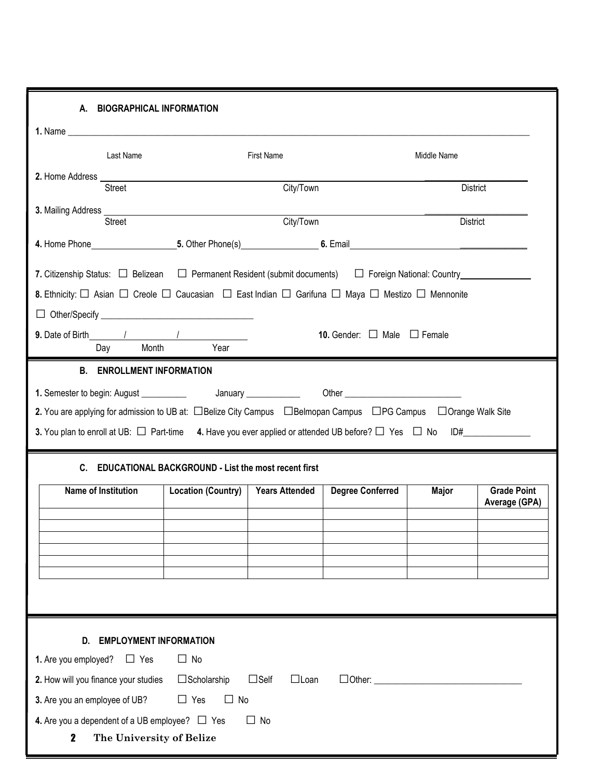| 2. Home Address ______<br>Street<br>3. Mailing Address <b>contract and the contract of the contract of the contract of the contract of the contract of the contract of the contract of the contract of the contract of the contract of the contract of the contract </b><br>Street |                                                                                                               |                       |                         | Middle Name     |                                     |
|------------------------------------------------------------------------------------------------------------------------------------------------------------------------------------------------------------------------------------------------------------------------------------|---------------------------------------------------------------------------------------------------------------|-----------------------|-------------------------|-----------------|-------------------------------------|
|                                                                                                                                                                                                                                                                                    |                                                                                                               |                       |                         |                 |                                     |
|                                                                                                                                                                                                                                                                                    |                                                                                                               | City/Town             |                         |                 | <b>District</b>                     |
|                                                                                                                                                                                                                                                                                    |                                                                                                               | City/Town             |                         | <b>District</b> |                                     |
|                                                                                                                                                                                                                                                                                    |                                                                                                               |                       |                         |                 |                                     |
| 7. Citizenship Status: □ Belizean □ Permanent Resident (submit documents) □ Foreign National: Country___________                                                                                                                                                                   |                                                                                                               |                       |                         |                 |                                     |
| 8. Ethnicity: □ Asian □ Creole □ Caucasian □ East Indian □ Garifuna □ Maya □ Mestizo □ Mennonite                                                                                                                                                                                   |                                                                                                               |                       |                         |                 |                                     |
|                                                                                                                                                                                                                                                                                    |                                                                                                               |                       |                         |                 |                                     |
| 9. Date of Birth 1 1<br><b>10.</b> Gender: $\Box$ Male $\Box$ Female<br>Day Month Year                                                                                                                                                                                             |                                                                                                               |                       |                         |                 |                                     |
| 3. You plan to enroll at UB: $\Box$ Part-time 4. Have you ever applied or attended UB before? $\Box$ Yes $\Box$ No ID#                                                                                                                                                             | 2. You are applying for admission to UB at: □Belize City Campus □Belmopan Campus □PG Campus □Orange Walk Site |                       |                         |                 |                                     |
| Name of Institution                                                                                                                                                                                                                                                                | C. EDUCATIONAL BACKGROUND - List the most recent first<br><b>Location (Country)</b>                           | <b>Years Attended</b> | <b>Degree Conferred</b> | <b>Major</b>    | <b>Grade Point</b><br>Average (GPA) |
|                                                                                                                                                                                                                                                                                    |                                                                                                               |                       |                         |                 |                                     |
|                                                                                                                                                                                                                                                                                    |                                                                                                               |                       |                         |                 |                                     |
|                                                                                                                                                                                                                                                                                    |                                                                                                               |                       |                         |                 |                                     |
|                                                                                                                                                                                                                                                                                    |                                                                                                               |                       |                         |                 |                                     |
|                                                                                                                                                                                                                                                                                    |                                                                                                               |                       |                         |                 |                                     |
| D.<br><b>EMPLOYMENT INFORMATION</b>                                                                                                                                                                                                                                                |                                                                                                               |                       |                         |                 |                                     |
| 1. Are you employed?<br>$\Box$ Yes                                                                                                                                                                                                                                                 | $\Box$ No                                                                                                     |                       |                         |                 |                                     |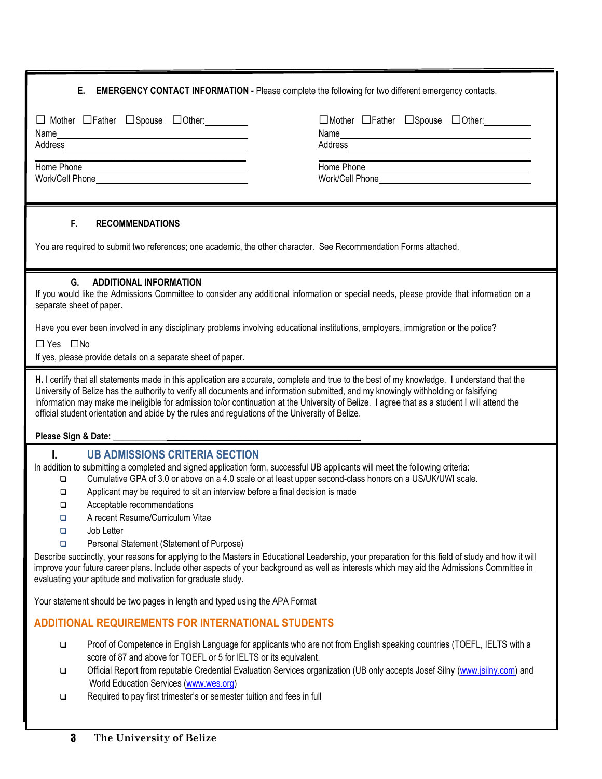|  | <b>E.</b> EMERGENCY CONTACT INFORMATION - Please complete the following for two different emergency contacts. |
|--|---------------------------------------------------------------------------------------------------------------|
|  |                                                                                                               |

| □ Mother □ Father □ Spouse □ Other:<br>Name<br>Address | □Mother □Father □Spouse □Other: _________<br>Address |
|--------------------------------------------------------|------------------------------------------------------|
| Home Phone                                             | Home Phone                                           |
|                                                        |                                                      |
|                                                        |                                                      |

#### **F. RECOMMENDATIONS**

You are required to submit two references; one academic, the other character. See Recommendation Forms attached.

#### **G. ADDITIONAL INFORMATION**

If you would like the Admissions Committee to consider any additional information or special needs, please provide that information on a separate sheet of paper.

Have you ever been involved in any disciplinary problems involving educational institutions, employers, immigration or the police?

□Yes □No

If yes, please provide details on a separate sheet of paper.

**H.** I certify that all statements made in this application are accurate, complete and true to the best of my knowledge. I understand that the University of Belize has the authority to verify all documents and information submitted, and my knowingly withholding or falsifying information may make me ineligible for admission to/or continuation at the University of Belize. I agree that as a student I will attend the official student orientation and abide by the rules and regulations of the University of Belize.

#### **Please Sign & Date:** \_\_\_\_\_\_\_\_\_\_\_\_ \_\_\_\_\_\_\_\_\_\_\_\_\_\_\_\_\_\_\_\_\_\_\_\_\_\_\_\_\_\_\_\_\_\_\_\_\_\_\_\_\_

#### **I. UB ADMISSIONS CRITERIA SECTION**

In addition to submitting a completed and signed application form, successful UB applicants will meet the following criteria:

- Cumulative GPA of 3.0 or above on a 4.0 scale or at least upper second-class honors on a US/UK/UWI scale.
	- $\Box$  Applicant may be required to sit an interview before a final decision is made
	- □ Acceptable recommendations
	- □ A recent Resume/Curriculum Vitae
	- Job Letter
	- **Personal Statement (Statement of Purpose)**

Describe succinctly, your reasons for applying to the Masters in Educational Leadership, your preparation for this field of study and how it will improve your future career plans. Include other aspects of your background as well as interests which may aid the Admissions Committee in evaluating your aptitude and motivation for graduate study.

Your statement should be two pages in length and typed using the APA Format

#### **ADDITIONAL REQUIREMENTS FOR INTERNATIONAL STUDENTS**

- Proof of Competence in English Language for applicants who are not from English speaking countries (TOEFL, IELTS with a score of 87 and above for TOEFL or 5 for IELTS or its equivalent.
- Official Report from reputable Credential Evaluation Services organization (UB only accepts Josef Silny [\(www.jsilny.com\)](http://www.jsilny.com/) and World Education Services [\(www.wes.org\)](http://www.wes.org/)
- □ Required to pay first trimester's or semester tuition and fees in full